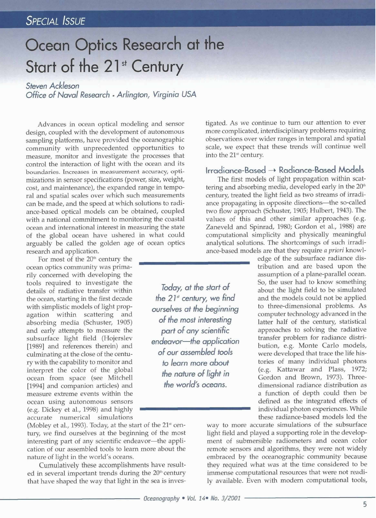# **Ocean Optics Research at the** Start of the 21<sup>st</sup> Century

#### *Steven Ackleson*

*Office of Naval Research • Arlington, Virginia USA* 

Advances in ocean optical modeling and sensor design, coupled with the development of autonomous sampling platforms, have provided the oceanographic community with unprecedented opportunities to measure, monitor and investigate the processes that control the interaction of light with the ocean and its boundaries. Increases in measurement accuracy, optimizations in sensor specifications (power, size, weight, cost, and maintenance), the expanded range in temporal and spatial scales over which such measurements can be made, and the speed at which solutions to radiance-based optical models can be obtained, coupled with a national commitment to monitoring the coastal ocean and international interest in measuring the state of the global ocean have ushered in what could arguably be called the golden age of ocean optics research and application.

For most of the  $20<sup>th</sup>$  century the ocean optics community was primarily concerned with developing the tools required to investigate the details of radiative transfer within the ocean, starting in the first decade with simplistic models of light propagation within scattering and absorbing media (Schuster, 1905) and early attempts to measure the subsurface light field (Hojerslev [1989] and references therein) and culminating at the close of the century with the capability to monitor and interpret the color of the global ocean from space (see Mitchell [1994] and companion articles) and measure extreme events within the ocean using autonomous sensors (e.g. Dickey et al., 1998) and highly accurate numerical simulations

(Mobley et al., 1993). Today, at the start of the  $21<sup>st</sup>$  century, we find ourselves at the beginning of the most interesting part of any scientific endeavor-the application of our assembled tools to learn more about the nature of light in the world's oceans.

Cumulatively these accomplishments have resulted in several important trends during the 20<sup>th</sup> century that have shaped the way that light in the sea is investigated. As we continue to turn our attention to ever more complicated, interdisciplinary problems requiring observations over wider ranges in temporal and spatial scale, we expect that these trends will continue well into the 21<sup>st</sup> century.

#### **Irradiance-gased ~ Radiance-Based Models**

The first models of light propagation within scattering and absorbing media, developed early in the  $20<sup>th</sup>$ century, treated the light field as two streams of irradiance propagating in opposite directions--the so-called two flow approach (Schuster, 1905; Hulbert, 1943). The values of this and other similar approaches (e.g. Zaneveld and Spinrad, 1980; Gordon et al., 1988) are computational simplicity and physically meaningful analytical solutions. The shortcomings of such irradiance-based models are that they require *a priori* knowl-

edge of the subsurface radiance distribution and are based upon the assumption of a plane-parallel ocean. So, the user had to know something about the light field to be simulated and the models could not be applied to three-dimensional problems. As computer technology advanced in the latter half of the century, statistical approaches to solving the radiative transfer problem for radiance distribution, e.g. Monte Carlo models, were developed that trace the life histories of many individual photons (e.g. Kattawar and Plass, 1972; Gordon and Brown, 1973). Threedimensional radiance distribution as a function of depth could then be defined as the integrated effects of individual photon experiences. While these radiance-based models led the

way to more accurate simulations of the subsurface light field and played a supporting role in the development of submersible radiometers and ocean color remote sensors and algorithms, they were not widely embraced by the oceanographic community because they required what was at the time considered to be immense computational resources that were not readily available. Even with modern computational tools,

*Today, at the start of the 21" century, we find ourselves at the beginning of the most interesting part of any scientific endeavor--the application of our assembled tools to learn more about the nature of light in the world's oceans.*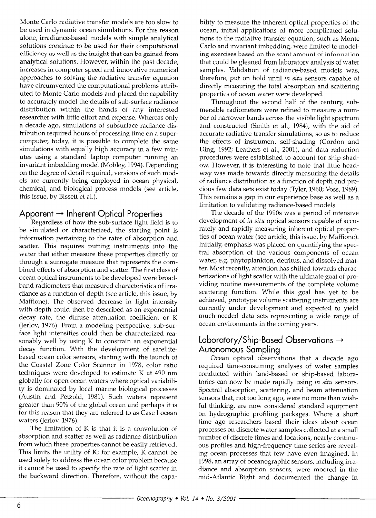Monte Carlo radiative transfer models are too slow to be used in dynamic ocean simulations. For this reason alone, irradiance-based models with simple analytical solutions continue to be used for their computational efficiency as well as the insight that can be gained from analytical solutions. However, within the past decade, increases in computer speed and innovative numerical approaches to solving the *radiative* transfer equation have circumvented the computational problems attributed to Monte Carlo models and placed the capability to accurately model the details of sub-surface radiance distribution within the hands of any interested researcher with little effort and expense. Whereas only a decade ago, simulations of subsurface radiance distribution required hours of processing time on a supercomputer, today, it is possible to complete the same simulations with equally high accuracy in a few minutes using a standard laptop computer running an invariant imbedding model (Mobley, 1994). Depending on the degree of detail required, versions of such models are currently being employed in ocean physical, chemical, and biological process models (see article, this issue, by Bissett et al.).

# Apparent → Inherent Optical Properties

Regardless of how the sub-surface light field is to be simulated or characterized, the starting point is information pertaining to the rates of absorption and scatter. This requires putting instruments into the water that either measure these properties directly or through a surrogate measure that represents the combined effects of absorption and scatter. The first class of ocean optical instruments to be developed were broadband radiometers that measured characteristics of irradiance as a function of depth (see article, this issue, by Maffione). The observed decrease in light intensity with depth could then be described as an exponential decay rate, the diffuse attenuation coefficient or K (Jerlov, 1976). From a modeling perspective, sub-surface light intensities could then be characterized reasonably well by using K to constrain an exponential decay function. With the development of satellitebased ocean color sensors, starting with the launch of the Coastal Zone Color Scanner in 1978, color ratio techniques were developed to estimate K at 490 nm globally for open ocean waters where optical variability is dominated by local marine biological processes (Austin and Petzold, 1981). Such waters represent greater than 90% of the global ocean and perhaps it is for this reason that they are referred to as Case I ocean waters (Jerlov, 1976).

The limitation of K is that it is a convolution of absorption and scatter as well as radiance distribution from which these properties cannot be easily retrieved. This limits the utility of K; for example, K cannot be used solely to address the ocean color problem because it cannot be used to specify the rate of light scatter in the backward direction. Therefore, without the capability to measure the inherent optical properties of the ocean, initial applications of more complicated solutions to the radiative transfer equation, such as Monte Carlo and invariant imbedding, were limited to modeling exercises based on the scant amount of information that could be gleaned from laboratory analysis of water samples. Validation of radiance-based models was, therefore, put on hold until *in situ* sensors capable of directly measuring the total absorption and scattering properties of ocean water were developed.

Throughout the second half of the century, submersible radiometers were refined to measure a number of narrower bands across the visible light spectrum and constructed (Smith et al., 1984), with the aid of accurate radiative transfer simulations, so as to reduce the effects of instrument self-shading (Gordon and Ding, 1992; Leathers et al., 2001), and data reduction procedures were established to account for ship shadow. However, it is interesting to note that little headway was made towards directly measuring the details of radiance distribution as a function of depth and precious few data sets exist today (Tyler, 1960; Voss, 1989). This remains a gap in our experience base as well as a limitation to validating radiance-based models.

The decade of the 1990s was a period of intensive development of *in situ* optical sensors capable of accurately and rapidly measuring inherent optical properties of ocean water (see article, this issue, by Maffione). Initially, emphasis was placed on quantifying the spectral absorption of the various components of ocean water, e.g. phytoplankton, detritus, and dissolved matter. Most recently, attention has shifted towards characterizations of light scatter with the ultimate goal of providing routine measurements of the complete volume scattering function. While this goal has yet to be achieved, prototype volume scattering instruments are currently under development and expected to yield much-needed data sets representing a wide range of ocean environments in the coming years.

## **Laboratory/Ship-Based Observations Autonomous Sampling**

Ocean optical observations that a decade ago required time-consuming analyses of water samples conducted within land-based or ship-based laboratories can now be made rapidly using *in situ* sensors. Spectral absorption, scattering, and beam attenuation sensors that, not too long ago, were no more than wishful thinking, are now considered standard equipment on hydrographic profiling packages. Where a short time ago researchers based their ideas about ocean processes on discrete water samples collected at a small number of discrete times and locations, nearly continuous profiles and high-frequency time series are revealing ocean processes that few have even imagined. In 1998, an array of oceanographic sensors, including irradiance and absorption sensors, were moored in the mid-Atlantic Bight and documented the change in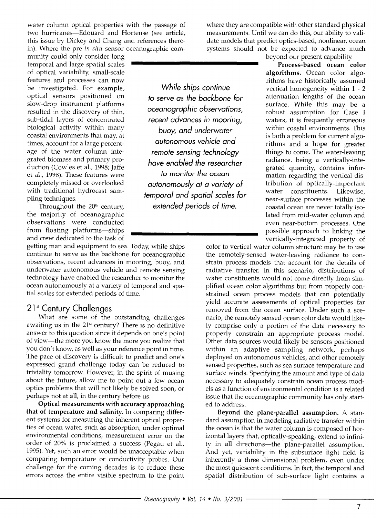water column optical properties with the passage of two hurricanes-Edouard and Hortense (see article, this issue by Dickey and Chang and references therein). Where the pre *in situ* sensor oceanographic com-

munity could only consider long temporal and large spatial scales of optical variability, small-scale features and processes can now be investigated. For example, optical sensors positioned on slow-drop instrument platforms resulted in the discovery of thin, sub-tidal layers of concentrated biological activity within many coastal environments that may, at times, account for a large percentage of the water column integrated biomass and primary production (Cowles et al., 1998; Jaffe et al., 1998). These features were completely missed or overlooked with traditional hydrocast sampling techniques.

Throughout the 20<sup>th</sup> century, the majority of oceanographic observations were conducted from floating platforms-ships and crew dedicated to the task of

getting man and equipment to sea. Today, while ships continue to serve as the backbone for oceanographic observations, recent advances in mooring, buoy, and underwater autonomous vehicle and remote sensing technology have enabled the researcher to monitor the ocean autonomously at a variety of temporal and spatial scales for extended periods of time.

### 21<sup>st</sup> Century Challenges

What are some of the outstanding challenges awaiting us in the  $21<sup>st</sup>$  century? There is no definitive answer to this question since it depends on one's point of view--the more you know the more you realize that you don't know, as well as your reference point in time. The pace of discovery is difficult to predict and one's expressed grand challenge today can be reduced to triviality tomorrow. However, In the spirit of musing about the future, allow me to point out a few ocean optics problems that will not likely be solved soon, or perhaps not at all, in the century before us.

**Optical measurements with accuracy approaching that of temperature and salinity.** In comparing different systems for measuring the inherent optical properties of ocean water, such as absorption, under optimal environmental conditions, measurement error on the order of 20% is proclaimed a success (Pegau et al., 1995). Yet, such an error would be unacceptable when comparing temperature or conductivity probes. Our challenge for the coming decades is to reduce these errors across the entire visible spectrum to the point

*While ships continue to serve as the backbone for oceanographic observations, recent advances in mooring, buoy, and underwater autonomous vehicle and remote sensing technology have enabled the researcher to monitor the ocean autonomously at a variety of temporal and spatial scales for extended periods of time.* 

where they are compatible with other standard physical measurements. Until we can do this, our ability to validate models that predict optics-based, nonlinear, ocean systems should not be expected to advance much beyond our present capability.

**Process-based ocean color algorithms.** Ocean color algorithms have historically assumed vertical homogeneity within 1 - 2 attenuation lengths of the ocean surface. While this may be a robust assumption for Case I waters, it is frequently erroneous within coastal environments. This is both a problem for current algorithms and a hope for greater things to come. The water-leaving radiance, being a vertically-integrated quantity, contains information regarding the vertical distribution of optically-important water constituents. Likewise, near-surface processes within the coastal ocean are never totally isolated from mid-water column and even near-bottom processes. One possible approach to linking the vertically-integrated property of

color to vertical water column structure may be to use the remotely-sensed water-leaving radiance to constrain process models that account for the details of radiative transfer. In this scenario, distributions of water constituents would not come directly from simplified ocean color algorithms but from properly constrained ocean process models that can potentially yield accurate assessments of optical properties far removed from the ocean surface. Under such a scenario, the remotely sensed ocean color data would likely comprise only a portion of the data necessary to properly constrain an appropriate process model. Other data sources would likely be sensors positioned within an adaptive sampling network, perhaps deployed on autonomous vehicles, and other remotely sensed properties, such as sea surface temperature and surface winds. Specifying the amount and type of data necessary to adequately constrain ocean process models as a function of environmental condition is a related issue that the oceanographic community has only started to address.

**Beyond the plane-parallel assumption.** A standard assumption in modeling radiative transfer within the ocean is that the water column is composed of horizontal layers that, optically-speaking, extend to infinity in all directions--the plane-parallel assumption. And yet, variability in the subsurface light field is inherently a three dimensional problem, even under the most quiescent conditions. In fact, the temporal and spatial distribution of sub-surface light contains a